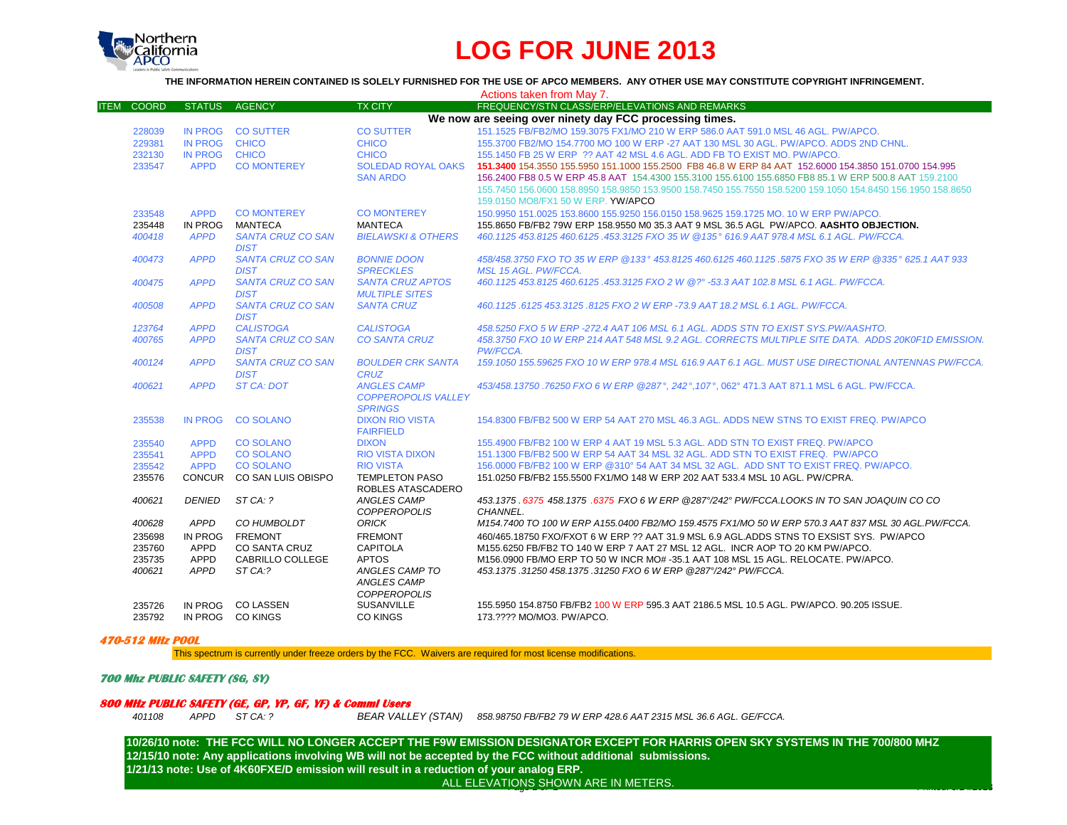

# **LOG FOR JUNE 2013**

**THE INFORMATION HEREIN CONTAINED IS SOLELY FURNISHED FOR THE USE OF APCO MEMBERS. ANY OTHER USE MAY CONSTITUTE COPYRIGHT INFRINGEMENT.**

|                                                         |                |                                         |                                         | Actions taken from May 7.                                                                                   |
|---------------------------------------------------------|----------------|-----------------------------------------|-----------------------------------------|-------------------------------------------------------------------------------------------------------------|
| <b>ITEM COORD</b>                                       | <b>STATUS</b>  | <b>AGENCY</b>                           | <b>TX CITY</b>                          | FREQUENCY/STN CLASS/ERP/ELEVATIONS AND REMARKS                                                              |
| We now are seeing over ninety day FCC processing times. |                |                                         |                                         |                                                                                                             |
| 228039                                                  | IN PROG        | <b>CO SUTTER</b>                        | <b>CO SUTTER</b>                        | 151.1525 FB/FB2/MO 159.3075 FX1/MO 210 W ERP 586.0 AAT 591.0 MSL 46 AGL, PW/APCO,                           |
| 229381                                                  | <b>IN PROG</b> | <b>CHICO</b>                            | <b>CHICO</b>                            | 155.3700 FB2/MO 154.7700 MO 100 W ERP -27 AAT 130 MSL 30 AGL. PW/APCO, ADDS 2ND CHNL.                       |
| 232130                                                  | <b>IN PROG</b> | <b>CHICO</b>                            | <b>CHICO</b>                            | 155,1450 FB 25 W ERP ?? AAT 42 MSL 4.6 AGL, ADD FB TO EXIST MO, PW/APCO.                                    |
| 233547                                                  | <b>APPD</b>    | <b>CO MONTEREY</b>                      | <b>SOLEDAD ROYAL OAKS</b>               | 151.3400 154.3550 155.5950 151.1000 155.2500 FB8 46.8 W ERP 84 AAT 152.6000 154.3850 151.0700 154.995       |
|                                                         |                |                                         | <b>SAN ARDO</b>                         | 156.2400 FB8 0.5 W ERP 45.8 AAT 154.4300 155.3100 155.6100 155.6850 FB8 85.1 W ERP 500.8 AAT 159.2100       |
|                                                         |                |                                         |                                         | 155.7450 156.0600 158.8950 158.9850 153.9500 158.7450 155.7550 158.5200 159.1050 154.8450 156.1950 158.8650 |
|                                                         |                |                                         |                                         | 159.0150 MO8/FX1 50 W ERP. YW/APCO                                                                          |
| 233548                                                  | <b>APPD</b>    | <b>CO MONTEREY</b>                      | <b>CO MONTEREY</b>                      | 150,9950 151,0025 153,8600 155,9250 156,0150 158,9625 159,1725 MO, 10 W ERP PW/APCO,                        |
| 235448                                                  | IN PROG        | MANTECA                                 | <b>MANTECA</b>                          | 155.8650 FB/FB2 79W ERP 158.9550 M0 35.3 AAT 9 MSL 36.5 AGL PW/APCO. AASHTO OBJECTION.                      |
| 400418                                                  | <b>APPD</b>    | <b>SANTA CRUZ CO SAN</b>                | <b>BIELAWSKI &amp; OTHERS</b>           | 460.1125 453.8125 460.6125 .453.3125 FXO 35 W @135° 616.9 AAT 978.4 MSL 6.1 AGL, PW/FCCA,                   |
|                                                         |                | <b>DIST</b>                             |                                         |                                                                                                             |
| 400473                                                  | <b>APPD</b>    | <b>SANTA CRUZ CO SAN</b>                | <b>BONNIE DOON</b>                      | 458/458.3750 FXO TO 35 W ERP @133° 453.8125 460.6125 460.1125 .5875 FXO 35 W ERP @335° 625.1 AAT 933        |
|                                                         |                | <b>DIST</b>                             | <b>SPRECKLES</b>                        | <b>MSL 15 AGL, PW/FCCA.</b>                                                                                 |
| 400475                                                  | <b>APPD</b>    | <b>SANTA CRUZ CO SAN</b>                | <b>SANTA CRUZ APTOS</b>                 | 460.1125 453.8125 460.6125 .453.3125 FXO 2 W @?° -53.3 AAT 102.8 MSL 6.1 AGL. PW/FCCA.                      |
|                                                         |                | <b>DIST</b>                             | <b>MULTIPLE SITES</b>                   |                                                                                                             |
| 400508                                                  | <b>APPD</b>    | <b>SANTA CRUZ CO SAN</b>                | <b>SANTA CRUZ</b>                       | 460.1125.6125 453.3125.8125 FXO 2 W ERP -73.9 AAT 18.2 MSL 6.1 AGL, PW/FCCA,                                |
|                                                         |                | <b>DIST</b>                             |                                         |                                                                                                             |
| 123764                                                  | <b>APPD</b>    | <b>CALISTOGA</b>                        | <b>CALISTOGA</b>                        | 458.5250 FXO 5 W ERP -272.4 AAT 106 MSL 6.1 AGL. ADDS STN TO EXIST SYS.PW/AASHTO.                           |
| 400765                                                  | <b>APPD</b>    | <b>SANTA CRUZ CO SAN</b>                | <b>CO SANTA CRUZ</b>                    | 458.3750 FXO 10 W ERP 214 AAT 548 MSL 9.2 AGL. CORRECTS MULTIPLE SITE DATA. ADDS 20K0F1D EMISSION.          |
|                                                         |                | <b>DIST</b>                             |                                         | PW/FCCA.                                                                                                    |
| 400124                                                  | <b>APPD</b>    | <b>SANTA CRUZ CO SAN</b><br><b>DIST</b> | <b>BOULDER CRK SANTA</b><br><b>CRUZ</b> | 159.1050 155.59625 FXO 10 W ERP 978.4 MSL 616.9 AAT 6.1 AGL. MUST USE DIRECTIONAL ANTENNAS PW/FCCA.         |
| 400621                                                  | <b>APPD</b>    | ST CA: DOT                              | <b>ANGLES CAMP</b>                      | 453/458.13750.76250 FXO 6 W ERP @287°, 242°, 107°, 062° 471.3 AAT 871.1 MSL 6 AGL. PW/FCCA.                 |
|                                                         |                |                                         | <b>COPPEROPOLIS VALLEY</b>              |                                                                                                             |
|                                                         |                |                                         | <b>SPRINGS</b>                          |                                                                                                             |
| 235538                                                  | IN PROG        | <b>CO SOLANO</b>                        | <b>DIXON RIO VISTA</b>                  | 154,8300 FB/FB2 500 W ERP 54 AAT 270 MSL 46.3 AGL, ADDS NEW STNS TO EXIST FREQ. PW/APCO                     |
|                                                         |                |                                         | <b>FAIRFIELD</b>                        |                                                                                                             |
| 235540                                                  | <b>APPD</b>    | <b>CO SOLANO</b>                        | <b>DIXON</b>                            | 155,4900 FB/FB2 100 W ERP 4 AAT 19 MSL 5.3 AGL, ADD STN TO EXIST FREQ. PW/APCO                              |
| 235541                                                  | <b>APPD</b>    | <b>CO SOLANO</b>                        | <b>RIO VISTA DIXON</b>                  | 151.1300 FB/FB2 500 W ERP 54 AAT 34 MSL 32 AGL, ADD STN TO EXIST FREQ. PW/APCO                              |
| 235542                                                  | <b>APPD</b>    | <b>CO SOLANO</b>                        | <b>RIO VISTA</b>                        | 156,0000 FB/FB2 100 W ERP @310° 54 AAT 34 MSL 32 AGL. ADD SNT TO EXIST FREQ. PW/APCO.                       |
| 235576                                                  |                | CONCUR CO SAN LUIS OBISPO               | <b>TEMPLETON PASO</b>                   | 151.0250 FB/FB2 155.5500 FX1/MO 148 W ERP 202 AAT 533.4 MSL 10 AGL, PW/CPRA.                                |
|                                                         |                |                                         | ROBLES ATASCADERO                       |                                                                                                             |
| 400621                                                  | <b>DENIED</b>  | ST CA: ?                                | <b>ANGLES CAMP</b>                      | 453.1375 .6375 458.1375 .6375 FXO 6 W ERP @287°/242° PW/FCCA.LOOKS IN TO SAN JOAQUIN CO CO                  |
|                                                         |                |                                         | <b>COPPEROPOLIS</b>                     | CHANNEL.                                                                                                    |
| 400628                                                  | APPD           | CO HUMBOLDT                             | <b>ORICK</b>                            | M154.7400 TO 100 W ERP A155.0400 FB2/MO 159.4575 FX1/MO 50 W ERP 570.3 AAT 837 MSL 30 AGL.PW/FCCA.          |
| 235698                                                  | <b>IN PROG</b> | <b>FREMONT</b>                          | <b>FREMONT</b>                          | 460/465.18750 FXO/FXOT 6 W ERP ?? AAT 31.9 MSL 6.9 AGL.ADDS STNS TO EXSIST SYS. PW/APCO                     |
| 235760                                                  | APPD           | <b>CO SANTA CRUZ</b>                    | <b>CAPITOLA</b>                         | M155.6250 FB/FB2 TO 140 W ERP 7 AAT 27 MSL 12 AGL. INCR AOP TO 20 KM PW/APCO.                               |
| 235735                                                  | APPD           | CABRILLO COLLEGE                        | <b>APTOS</b>                            | M156.0900 FB/MO ERP TO 50 W INCR MO# -35.1 AAT 108 MSL 15 AGL. RELOCATE. PW/APCO.                           |
| 400621                                                  | <b>APPD</b>    | ST CA:?                                 | ANGLES CAMP TO                          | 453.1375.31250 458.1375.31250 FXO 6 W ERP @287°/242° PW/FCCA.                                               |
|                                                         |                |                                         | <b>ANGLES CAMP</b>                      |                                                                                                             |
|                                                         |                |                                         | <b>COPPEROPOLIS</b>                     |                                                                                                             |
| 235726                                                  |                | IN PROG CO LASSEN                       | <b>SUSANVILLE</b>                       | 155.5950 154.8750 FB/FB2 100 W ERP 595.3 AAT 2186.5 MSL 10.5 AGL. PW/APCO. 90.205 ISSUE.                    |
| 235792                                                  |                | IN PROG CO KINGS                        | <b>CO KINGS</b>                         | 173.???? MO/MO3. PW/APCO.                                                                                   |

### **470-512 MHz POOL**

This spectrum is currently under freeze orders by the FCC. Waivers are required for most license modifications.

## **700 Mhz PUBLIC SAFETY (SG, SY)**

## **800 MHz PUBLIC SAFETY (GE, GP, YP, GF, YF) & Comml Users**

*401108 APPD ST CA: ? BEAR VALLEY (STAN) 858.98750 FB/FB2 79 W ERP 428.6 AAT 2315 MSL 36.6 AGL. GE/FCCA.*

**12/15/10 note: Any applications involving WB will not be accepted by the FCC without additional submissions. 1/21/13 note: Use of 4K60FXE/D emission will result in a reduction of your analog ERP. 10/26/10 note: THE FCC WILL NO LONGER ACCEPT THE F9W EMISSION DESIGNATOR EXCEPT FOR HARRIS OPEN SKY SYSTEMS IN THE 700/800 MHZ** 

Page 1 of 2 Printed: 5/24/2013 ALL ELEVATIONS SHOWN ARE IN METERS.